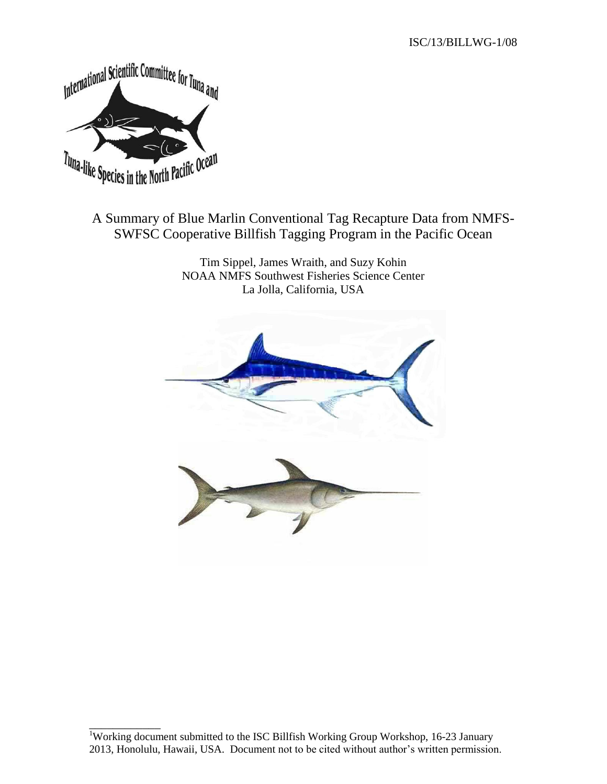

\_\_\_\_\_\_\_\_\_\_\_\_

# A Summary of Blue Marlin Conventional Tag Recapture Data from NMFS-SWFSC Cooperative Billfish Tagging Program in the Pacific Ocean

Tim Sippel, James Wraith, and Suzy Kohin NOAA NMFS Southwest Fisheries Science Center La Jolla, California, USA



<sup>&</sup>lt;sup>1</sup>Working document submitted to the ISC Billfish Working Group Workshop, 16-23 January 2013, Honolulu, Hawaii, USA. Document not to be cited without author's written permission.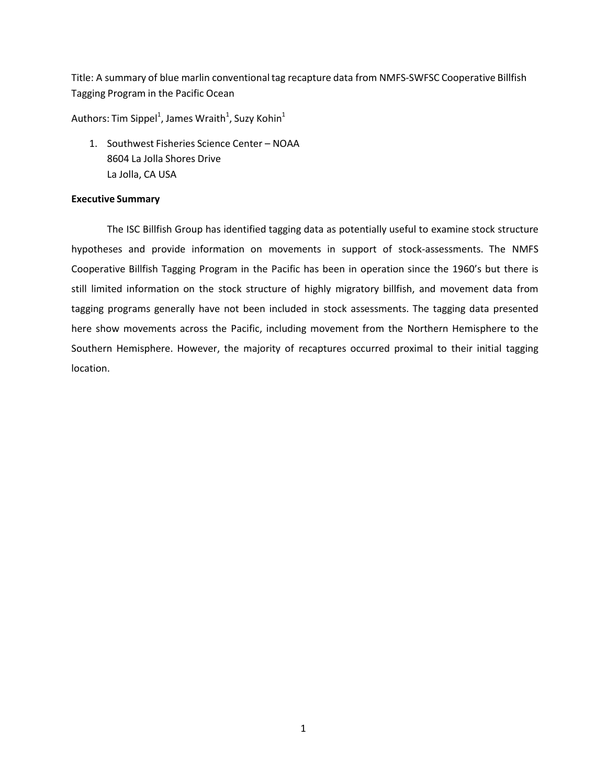Title: A summary of blue marlin conventional tag recapture data from NMFS-SWFSC Cooperative Billfish Tagging Program in the Pacific Ocean

Authors: Tim Sippel $^1$ , James Wraith $^1$ , Suzy Kohin $^1$ 

1. Southwest Fisheries Science Center – NOAA 8604 La Jolla Shores Drive La Jolla, CA USA

## **Executive Summary**

The ISC Billfish Group has identified tagging data as potentially useful to examine stock structure hypotheses and provide information on movements in support of stock-assessments. The NMFS Cooperative Billfish Tagging Program in the Pacific has been in operation since the 1960's but there is still limited information on the stock structure of highly migratory billfish, and movement data from tagging programs generally have not been included in stock assessments. The tagging data presented here show movements across the Pacific, including movement from the Northern Hemisphere to the Southern Hemisphere. However, the majority of recaptures occurred proximal to their initial tagging location.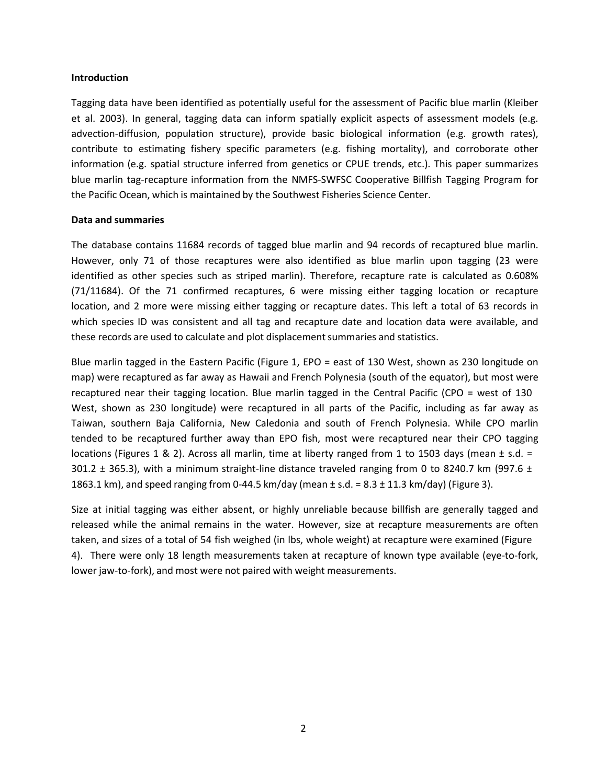#### **Introduction**

Tagging data have been identified as potentially useful for the assessment of Pacific blue marlin (Kleiber et al. 2003). In general, tagging data can inform spatially explicit aspects of assessment models (e.g. advection‐diffusion, population structure), provide basic biological information (e.g. growth rates), contribute to estimating fishery specific parameters (e.g. fishing mortality), and corroborate other information (e.g. spatial structure inferred from genetics or CPUE trends, etc.). This paper summarizes blue marlin tag-recapture information from the NMFS-SWFSC Cooperative Billfish Tagging Program for the Pacific Ocean, which is maintained by the Southwest Fisheries Science Center.

### **Data and summaries**

The database contains 11684 records of tagged blue marlin and 94 records of recaptured blue marlin. However, only 71 of those recaptures were also identified as blue marlin upon tagging (23 were identified as other species such as striped marlin). Therefore, recapture rate is calculated as 0.608% (71/11684). Of the 71 confirmed recaptures, 6 were missing either tagging location or recapture location, and 2 more were missing either tagging or recapture dates. This left a total of 63 records in which species ID was consistent and all tag and recapture date and location data were available, and these records are used to calculate and plot displacement summaries and statistics.

Blue marlin tagged in the Eastern Pacific (Figure 1, EPO = east of 130 West, shown as 230 longitude on map) were recaptured as far away as Hawaii and French Polynesia (south of the equator), but most were recaptured near their tagging location. Blue marlin tagged in the Central Pacific (CPO = west of 130 West, shown as 230 longitude) were recaptured in all parts of the Pacific, including as far away as Taiwan, southern Baja California, New Caledonia and south of French Polynesia. While CPO marlin tended to be recaptured further away than EPO fish, most were recaptured near their CPO tagging locations (Figures 1 & 2). Across all marlin, time at liberty ranged from 1 to 1503 days (mean  $\pm$  s.d. = 301.2  $\pm$  365.3), with a minimum straight-line distance traveled ranging from 0 to 8240.7 km (997.6  $\pm$ 1863.1 km), and speed ranging from 0-44.5 km/day (mean  $\pm$  s.d. = 8.3  $\pm$  11.3 km/day) (Figure 3).

Size at initial tagging was either absent, or highly unreliable because billfish are generally tagged and released while the animal remains in the water. However, size at recapture measurements are often taken, and sizes of a total of 54 fish weighed (in lbs, whole weight) at recapture were examined (Figure 4). There were only 18 length measurements taken at recapture of known type available (eye-to-fork, lower jaw-to-fork), and most were not paired with weight measurements.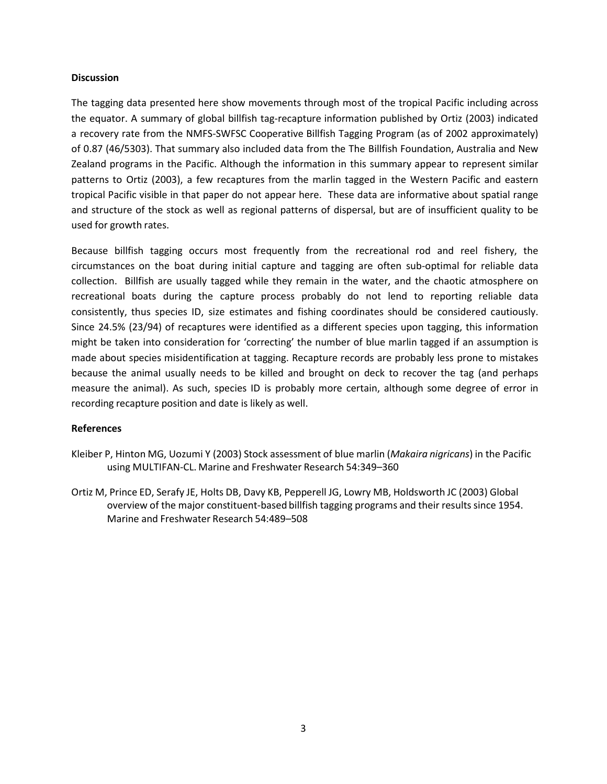## **Discussion**

The tagging data presented here show movements through most of the tropical Pacific including across the equator. A summary of global billfish tag-recapture information published by Ortiz (2003) indicated a recovery rate from the NMFS‐SWFSC Cooperative Billfish Tagging Program (as of 2002 approximately) of 0.87 (46/5303). That summary also included data from the The Billfish Foundation, Australia and New Zealand programs in the Pacific. Although the information in this summary appear to represent similar patterns to Ortiz (2003), a few recaptures from the marlin tagged in the Western Pacific and eastern tropical Pacific visible in that paper do not appear here. These data are informative about spatial range and structure of the stock as well as regional patterns of dispersal, but are of insufficient quality to be used for growth rates.

Because billfish tagging occurs most frequently from the recreational rod and reel fishery, the circumstances on the boat during initial capture and tagging are often sub‐optimal for reliable data collection. Billfish are usually tagged while they remain in the water, and the chaotic atmosphere on recreational boats during the capture process probably do not lend to reporting reliable data consistently, thus species ID, size estimates and fishing coordinates should be considered cautiously. Since 24.5% (23/94) of recaptures were identified as a different species upon tagging, this information might be taken into consideration for 'correcting' the number of blue marlin tagged if an assumption is made about species misidentification at tagging. Recapture records are probably less prone to mistakes because the animal usually needs to be killed and brought on deck to recover the tag (and perhaps measure the animal). As such, species ID is probably more certain, although some degree of error in recording recapture position and date is likely as well.

### **References**

- Kleiber P, Hinton MG, Uozumi Y (2003) Stock assessment of blue marlin (*Makaira nigricans*) in the Pacific using MULTIFAN‐CL. Marine and Freshwater Research 54:349–360
- Ortiz M, Prince ED, Serafy JE, Holts DB, Davy KB, Pepperell JG, Lowry MB, Holdsworth JC (2003) Global overview of the major constituent‐based billfish tagging programs and their results since 1954. Marine and Freshwater Research 54:489–508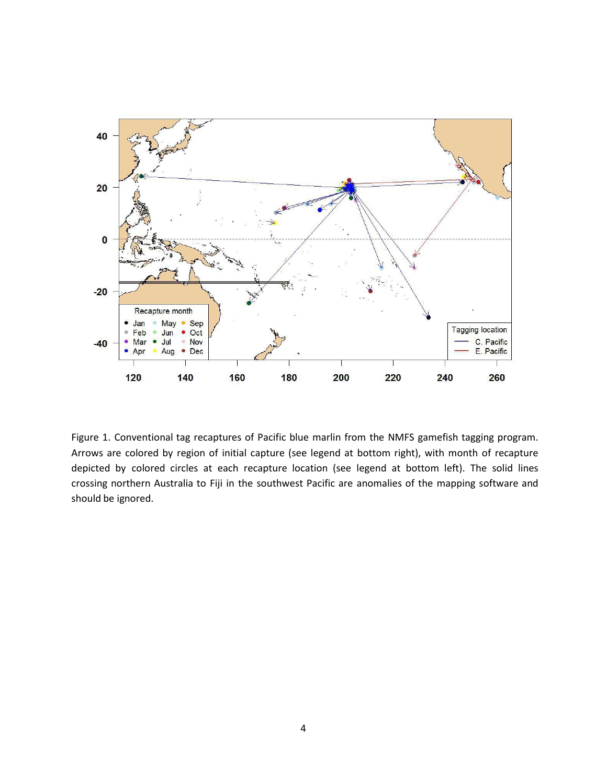

Figure 1. Conventional tag recaptures of Pacific blue marlin from the NMFS gamefish tagging program. Arrows are colored by region of initial capture (see legend at bottom right), with month of recapture depicted by colored circles at each recapture location (see legend at bottom left). The solid lines crossing northern Australia to Fiji in the southwest Pacific are anomalies of the mapping software and should be ignored.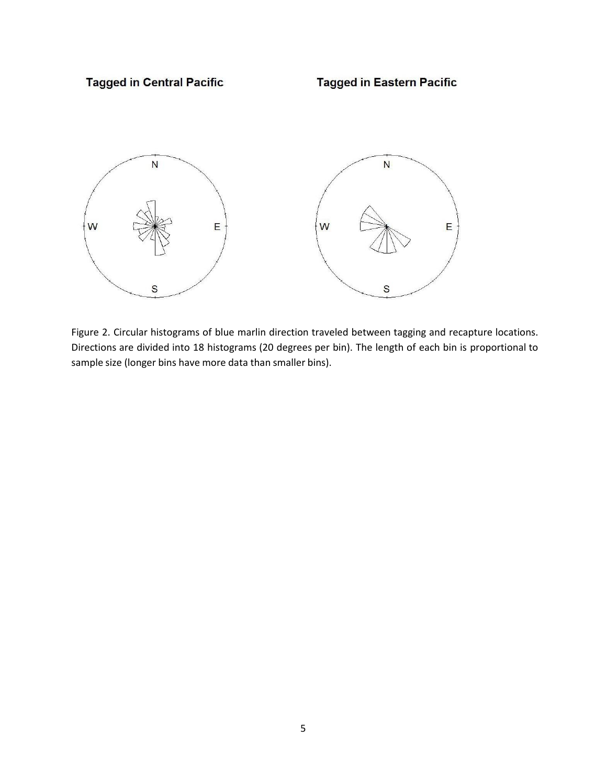**Tagged in Eastern Pacific** 



Figure 2. Circular histograms of blue marlin direction traveled between tagging and recapture locations. Directions are divided into 18 histograms (20 degrees per bin). The length of each bin is proportional to sample size (longer bins have more data than smaller bins).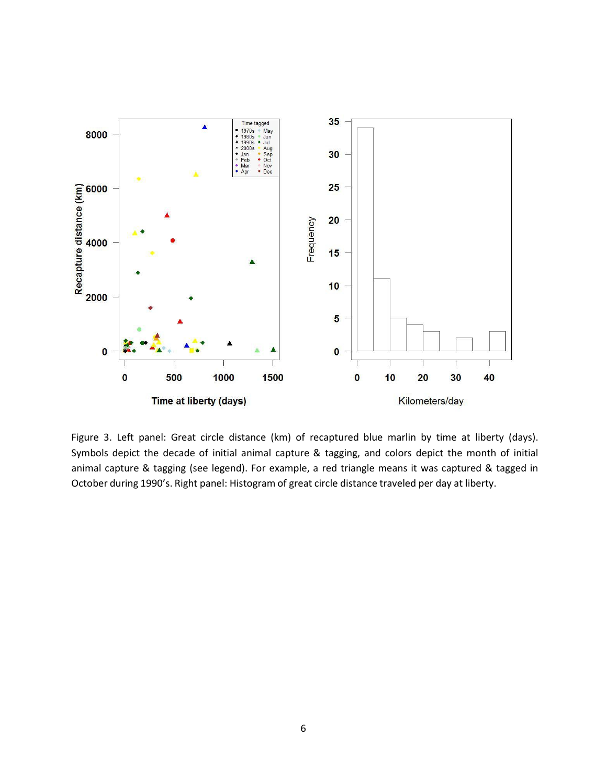

Figure 3. Left panel: Great circle distance (km) of recaptured blue marlin by time at liberty (days). Symbols depict the decade of initial animal capture & tagging, and colors depict the month of initial animal capture & tagging (see legend). For example, a red triangle means it was captured & tagged in October during 1990's. Right panel: Histogram of great circle distance traveled per day at liberty.